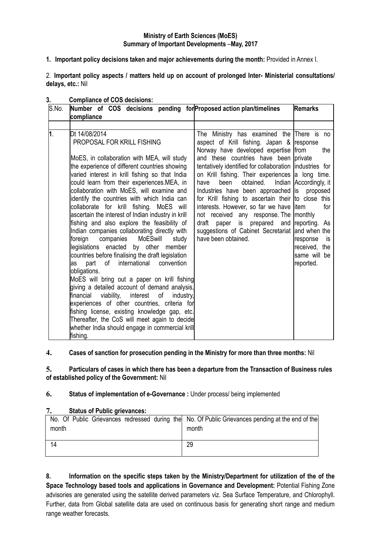### **Ministry of Earth Sciences (MoES) Summary of Important Developments** –**May, 2017**

**1. Important policy decisions taken and major achievements during the month:** Provided in Annex I.

2. **Important policy aspects / matters held up on account of prolonged Inter- Ministerial consultations/ delays, etc.:** Nil

| S.No. | compliance                                                                                                                                                                                                                                                                                                                                                                                                                                                                                                                                                                                                                                                                                                                                                                                                                                                                                                                                                       | Number of COS decisions pending for Proposed action plan/timelines<br><b>Remarks</b>                                                                                                                                                                                                                                                                                                                                                                                                                                                                                                                                         |                                                                                                                  |  |  |  |  |
|-------|------------------------------------------------------------------------------------------------------------------------------------------------------------------------------------------------------------------------------------------------------------------------------------------------------------------------------------------------------------------------------------------------------------------------------------------------------------------------------------------------------------------------------------------------------------------------------------------------------------------------------------------------------------------------------------------------------------------------------------------------------------------------------------------------------------------------------------------------------------------------------------------------------------------------------------------------------------------|------------------------------------------------------------------------------------------------------------------------------------------------------------------------------------------------------------------------------------------------------------------------------------------------------------------------------------------------------------------------------------------------------------------------------------------------------------------------------------------------------------------------------------------------------------------------------------------------------------------------------|------------------------------------------------------------------------------------------------------------------|--|--|--|--|
|       |                                                                                                                                                                                                                                                                                                                                                                                                                                                                                                                                                                                                                                                                                                                                                                                                                                                                                                                                                                  |                                                                                                                                                                                                                                                                                                                                                                                                                                                                                                                                                                                                                              |                                                                                                                  |  |  |  |  |
| 1.    | Dt 14/08/2014<br>PROPOSAL FOR KRILL FISHING<br>MoES, in collaboration with MEA, will study<br>the experience of different countries showing<br>varied interest in krill fishing so that India<br>could learn from their experiences.MEA, in<br>collaboration with MoES, will examine and<br>identify the countries with which India can<br>collaborate for krill fishing. MoES will<br>ascertain the interest of Indian industry in krill<br>fishing and also explore the feasibility of<br>Indian companies collaborating directly with<br>foreign<br>companies<br>MoESwill<br>study<br>legislations enacted by other member<br>countries before finalising the draft legislation<br>international<br>part<br>of<br>convention<br>as<br>obligations.<br>MoES will bring out a paper on krill fishing<br>giving a detailed account of demand analysis,<br>financial<br>viability,<br>interest<br>of<br>industry,<br>experiences of other countries, criteria for | The Ministry has examined the There is no<br>aspect of Krill fishing. Japan & response<br>Norway have developed expertise from<br>and these countries have been private<br>tentatively identified for collaboration industries for<br>on Krill fishing. Their experiences a long time.<br>been<br>obtained.<br>have<br>Industries have been approached is<br>for Krill fishing to ascertain their to close this<br>interests. However, so far we have litem<br>not received any response. The monthly<br>draft paper is prepared and reporting. As<br>suggestions of Cabinet Secretariat and when the<br>have been obtained. | the<br>Indian Accordingly, it<br>proposed<br>for<br>response<br>is<br>received, the<br>same will be<br>reported. |  |  |  |  |
|       | fishing license, existing knowledge gap, etc.<br>Thereafter, the CoS will meet again to decide<br>whether India should engage in commercial krill<br>fishing.                                                                                                                                                                                                                                                                                                                                                                                                                                                                                                                                                                                                                                                                                                                                                                                                    |                                                                                                                                                                                                                                                                                                                                                                                                                                                                                                                                                                                                                              |                                                                                                                  |  |  |  |  |

### **3. Compliance of COS decisions:**

# **4. Cases of sanction for prosecution pending in the Ministry for more than three months:** Nil

### **5. Particulars of cases in which there has been a departure from the Transaction of Business rules of established policy of the Government:** Nil

### **6. Status of implementation of e-Governance :** Under process/ being implemented

### **7. Status of Public grievances:**

| month | No. Of Public Grievances redressed during the No. Of Public Grievances pending at the end of the<br>month |
|-------|-----------------------------------------------------------------------------------------------------------|
| 14    | 29                                                                                                        |

**8. Information on the specific steps taken by the Ministry/Department for utilization of the of the Space Technology based tools and applications in Governance and Development:** Potential Fishing Zone advisories are generated using the satellite derived parameters viz. Sea Surface Temperature, and Chlorophyll. Further, data from Global satellite data are used on continuous basis for generating short range and medium range weather forecasts.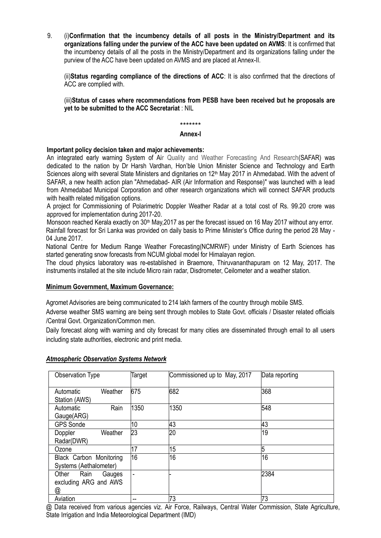9. (i)**Confirmation that the incumbency details of all posts in the Ministry/Department and its organizations falling under the purview of the ACC have been updated on AVMS**: It is confirmed that the incumbency details of all the posts in the Ministry/Department and its organizations falling under the purview of the ACC have been updated on AVMS and are placed at Annex-II.

(ii)**Status regarding compliance of the directions of ACC**: It is also confirmed that the directions of ACC are complied with.

(iii)**Status of cases where recommendations from PESB have been received but he proposals are yet to be submitted to the ACC Secretariat** : NIL

### \*\*\*\*\*\*\* **Annex-I**

### **Important policy decision taken and major achievements:**

An integrated early warning System of Air Quality and Weather Forecasting And Research(SAFAR) was dedicated to the nation by Dr Harsh Vardhan, Hon"ble Union Minister Science and Technology and Earth Sciences along with several State Ministers and dignitaries on 12<sup>th</sup> May 2017 in Ahmedabad. With the advent of SAFAR, a new health action plan "Ahmedabad- AIR (Air Information and Response)" was launched with a lead from Ahmedabad Municipal Corporation and other research organizations which will connect SAFAR products with health related mitigation options.

A project for Commissioning of Polarimetric Doppler Weather Radar at a total cost of Rs. 99.20 crore was approved for implementation during 2017-20.

Monsoon reached Kerala exactly on 30<sup>th</sup> May, 2017 as per the forecast issued on 16 May 2017 without any error. Rainfall forecast for Sri Lanka was provided on daily basis to Prime Minister's Office during the period 28 May -04 June 2017.

National Centre for Medium Range Weather Forecasting(NCMRWF) under Ministry of Earth Sciences has started generating snow forecasts from NCUM global model for Himalayan region.

The cloud physics laboratory was re-established in Braemore, Thiruvananthapuram on 12 May, 2017. The instruments installed at the site include Micro rain radar, Disdrometer, Ceilometer and a weather station.

### **Minimum Government, Maximum Governance:**

Agromet Advisories are being communicated to 214 lakh farmers of the country through mobile SMS.

Adverse weather SMS warning are being sent through mobiles to State Govt. officials / Disaster related officials /Central Govt. Organization/Common men.

Daily forecast along with warning and city forecast for many cities are disseminated through email to all users including state authorities, electronic and print media.

| Observation Type                                   | Target | Commissioned up to May, 2017 | Data reporting |
|----------------------------------------------------|--------|------------------------------|----------------|
| Weather<br>Automatic<br>Station (AWS)              | 675    | 682                          | 368            |
| Rain<br>Automatic<br>Gauge(ARG)                    | 1350   | 1350                         | 548            |
| <b>GPS Sonde</b>                                   | 10     | 43                           | 43             |
| Doppler<br>Weather<br>Radar(DWR)                   | 23     | 20                           | 19             |
| Ozone                                              | 17     | 15                           | 5              |
| Black Carbon Monitoring<br>Systems (Aethalometer)  | 16     | 16                           | 16             |
| Other Rain<br>Gauges<br>excluding ARG and AWS<br>@ | ٠      |                              | 2384           |
| Aviation                                           | --     | 73                           | 73             |

#### *Atmospheric Observation Systems Network*

@ Data received from various agencies viz. Air Force, Railways, Central Water Commission, State Agriculture, State Irrigation and India Meteorological Department (IMD)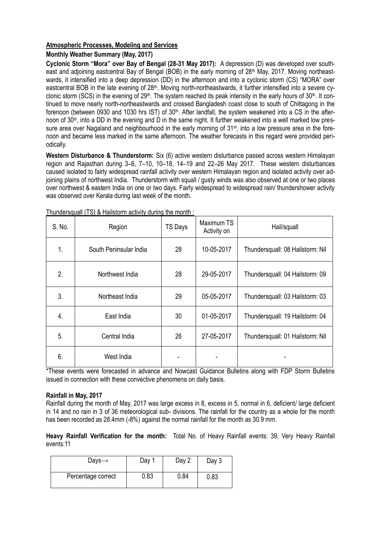# **Atmospheric Processes, Modeling and Services**

### **Monthly Weather Summary (May, 2017)**

**Cyclonic Storm "Mora" over Bay of Bengal (28-31 May 2017):** A depression (D) was developed over southeast and adjoining eastcentral Bay of Bengal (BOB) in the early morning of  $28<sup>th</sup>$  May, 2017. Moving northeastwards, it intensified into a deep depression (DD) in the afternoon and into a cyclonic storm (CS) "MORA" over eastcentral BOB in the late evening of 28<sup>th</sup>. Moving north-northeastwards, it further intensified into a severe cyclonic storm (SCS) in the evening of  $29<sup>th</sup>$ . The system reached its peak intensity in the early hours of  $30<sup>th</sup>$ . It continued to move nearly north-northeastwards and crossed Bangladesh coast close to south of Chittagong in the forenoon (between 0930 and 1030 hrs IST) of 30<sup>th</sup>. After landfall, the system weakened into a CS in the afternoon of 30<sup>th</sup>, into a DD in the evening and D in the same night. It further weakened into a well marked low pressure area over Nagaland and neighbourhood in the early morning of 31<sup>st</sup>, into a low pressure area in the forenoon and became less marked in the same afternoon. The weather forecasts in this regard were provided periodically.

**Western Disturbance & Thunderstorm:** Six (6) active western disturbance passed across western Himalayan region and Rajasthan during 3–6, 7–10, 10–18, 14–19 and 22–26 May 2017. These western disturbances caused isolated to fairly widespread rainfall activity over western Himalayan region and isolated activity over adjoining plains of northwest India. Thunderstorm with squall / gusty winds was also observed at one or two places over northwest & eastern India on one or two days. Fairly widespread to widespread rain/ thundershower activity was observed over Kerala during last week of the month.

| S. No. | Region                 | <b>TS Days</b> | Maximum TS<br>Activity on | Hail/squall                      |
|--------|------------------------|----------------|---------------------------|----------------------------------|
| 1.     | South Peninsular India | 28             | 10-05-2017                | Thundersquall: 08 Hailstorm: Nil |
| 2.     | Northwest India        | 28             | 29-05-2017                | Thundersquall: 04 Hailstorm: 09  |
| 3.     | Northeast India        | 29             | 05-05-2017                | Thundersquall: 03 Hailstorm: 03  |
| 4.     | East India             | 30             | 01-05-2017                | Thundersquall: 19 Hailstorm: 04  |
| 5.     | Central India          | 26             | 27-05-2017                | Thundersquall: 01 Hailstorm: Nil |
| 6.     | West India             |                |                           |                                  |

Thundersquall (TS) & Hailstorm activity during the month :

\*These events were forecasted in advance and Nowcast Guidance Bulletins along with FDP Storm Bulletins issued in connection with these convective phenomena on daily basis.

### **Rainfall in May, 2017**

Rainfall during the month of May, 2017 was large excess in 8, excess in 5, normal in 6, deficient/ large deficient in 14 and no rain in 3 of 36 meteorological sub- divisions. The rainfall for the country as a whole for the month has been recorded as 28.4mm (-8%) against the normal rainfall for the month as 30.9 mm.

**Heavy Rainfall Verification for the month:** Total No. of Heavy Rainfall events: 39, Very Heavy Rainfall events:11

| Days $\rightarrow$ | Day 1 | Day 2 | Day 3 |
|--------------------|-------|-------|-------|
| Percentage correct | 0.83  | 0.84  | 0.83  |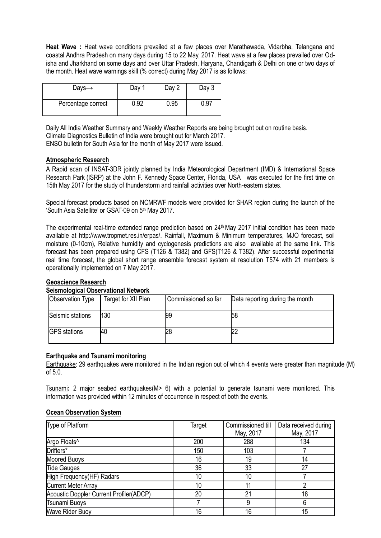**Heat Wave :** Heat wave conditions prevailed at a few places over Marathawada, Vidarbha, Telangana and coastal Andhra Pradesh on many days during 15 to 22 May, 2017. Heat wave at a few places prevailed over Odisha and Jharkhand on some days and over Uttar Pradesh, Haryana, Chandigarh & Delhi on one or two days of the month. Heat wave warnings skill (% correct) during May 2017 is as follows:

| Days $\rightarrow$ | Day  | Day 2 | Day 3 |
|--------------------|------|-------|-------|
| Percentage correct | 0.92 | 0.95  | 0.97  |

Daily All India Weather Summary and Weekly Weather Reports are being brought out on routine basis. Climate Diagnostics Bulletin of India were brought out for March 2017. ENSO bulletin for South Asia for the month of May 2017 were issued.

### **Atmospheric Research**

A Rapid scan of INSAT-3DR jointly planned by India Meteorological Department (IMD) & International Space Research Park (ISRP) at the John F. Kennedy Space Center, Florida, USA was executed for the first time on 15th May 2017 for the study of thunderstorm and rainfall activities over North-eastern states.

Special forecast products based on NCMRWF models were provided for SHAR region during the launch of the "South Asia Satellite" or GSAT-09 on 5th May 2017.

The experimental real-time extended range prediction based on  $24<sup>th</sup>$  May 2017 initial condition has been made available at [http://www.tropmet.res.in/erpas/.](http://www.tropmet.res.in/erpas/) Rainfall, Maximum & Minimum temperatures, MJO forecast, soil moisture (0-10cm), Relative humidity and cyclogenesis predictions are also available at the same link. This forecast has been prepared using CFS (T126 & T382) and GFS(T126 & T382). After successful experimental real time forecast, the global short range ensemble forecast system at resolution T574 with 21 members is operationally implemented on 7 May 2017.

### **Geoscience Research**

### **Seismological Observational Network**

| Observation Type    | Target for XII Plan | Commissioned so far | Data reporting during the month |
|---------------------|---------------------|---------------------|---------------------------------|
| Seismic stations    | 130                 | 199                 | 58                              |
| <b>GPS</b> stations | 40                  | 28                  |                                 |

### **Earthquake and Tsunami monitoring**

Earthquake: 29 earthquakes were monitored in the Indian region out of which 4 events were greater than magnitude (M) of 5.0.

Tsunami**:** 2 major seabed earthquakes(M> 6) with a potential to generate tsunami were monitored. This information was provided within 12 minutes of occurrence in respect of both the events.

### **Ocean Observation System**

| Type of Platform                        | Target | Commissioned till | Data received during |
|-----------------------------------------|--------|-------------------|----------------------|
|                                         |        | May, 2017         | May, 2017            |
| Argo Floats <sup>^</sup>                | 200    | 288               | 134                  |
| Drifters*                               | 150    | 103               |                      |
| <b>Moored Buoys</b>                     | 16     | 19                | 14                   |
| <b>Tide Gauges</b>                      | 36     | 33                | 27                   |
| High Frequency(HF) Radars               | 10     | 10                |                      |
| <b>Current Meter Array</b>              | 10     |                   |                      |
| Acoustic Doppler Current Profiler(ADCP) | 20     | 21                | 18                   |
| <b>Tsunami Buoys</b>                    |        | 9                 |                      |
| <b>Wave Rider Buoy</b>                  | 16     | 16                | 15                   |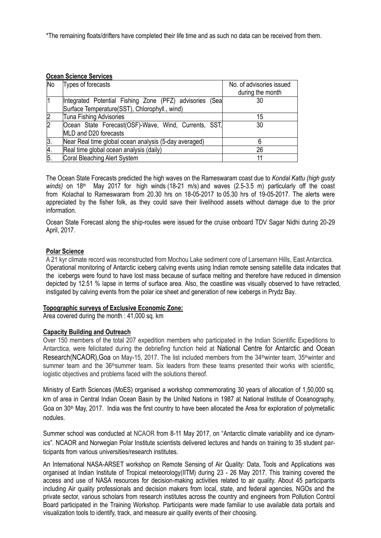\*The remaining floats/drifters have completed their life time and as such no data can be received from them.

| <b>No</b>        | Types of forecasts                                      | No. of advisories issued<br>during the month |
|------------------|---------------------------------------------------------|----------------------------------------------|
|                  | Integrated Potential Fishing Zone (PFZ) advisories (Sea | 30                                           |
|                  | Surface Temperature(SST), Chlorophyll., wind)           |                                              |
|                  | <b>Tuna Fishing Advisories</b>                          | 15                                           |
| $\overline{2}$   | Ocean State Forecast(OSF)-Wave, Wind, Currents, SST,    | 30                                           |
|                  | MLD and D20 forecasts                                   |                                              |
| 3.               | Near Real time global ocean analysis (5-day averaged)   |                                              |
| 4.               | Real time global ocean analysis (daily)                 | 26                                           |
| $\overline{5}$ . | Coral Bleaching Alert System                            | 11                                           |

The Ocean State Forecasts predicted the high waves on the Rameswaram coast due to *Kondal Kattu (high gusty*  winds) on 18<sup>th</sup> May 2017 for high winds (18-21 m/s) and waves (2.5-3.5 m) particularly off the coast from Kolachal to Rameswaram from 20.30 hrs on 18-05-2017 to 05.30 hrs of 19-05-2017. The alerts were appreciated by the fisher folk, as they could save their livelihood assets without damage due to the prior information.

Ocean State Forecast along the ship-routes were issued for the cruise onboard TDV Sagar Nidhi during 20-29 April, 2017.

### **Polar Science**

A 21 kyr climate record was reconstructed from Mochou Lake sediment core of Larsemann Hills, East Antarctica. Operational monitoring of Antarctic iceberg calving events using Indian remote sensing satellite data indicates that the icebergs were found to have lost mass because of surface melting and therefore have reduced in dimension depicted by 12.51 % lapse in terms of surface area. Also, the coastline was visually observed to have retracted, instigated by calving events from the polar ice sheet and generation of new icebergs in Prydz Bay..

### **Topographic surveys of Exclusive Economic Zone:**

Area covered during the month : 41,000 sq. km

### **Capacity Building and Outreach**

Over 150 members of the total 207 expedition members who participated in the Indian Scientific Expeditions to Antarctica, were felicitated during the debriefing function held at National Centre for Antarctic and Ocean Research(NCAOR), Goa on May-15, 2017. The list included members from the 34<sup>th</sup>winter team, 35<sup>th</sup>winter and summer team and the 36<sup>th</sup>summer team. Six leaders from these teams presented their works with scientific, logistic objectives and problems faced with the solutions thereof.

Ministry of Earth Sciences (MoES) organised a workshop commemorating 30 years of allocation of 1,50,000 sq. km of area in Central Indian Ocean Basin by the United Nations in 1987 at National Institute of Oceanography, Goa on 30<sup>th</sup> May, 2017. India was the first country to have been allocated the Area for exploration of polymetallic nodules.

Summer school was conducted at NCAOR from 8-11 May 2017, on "Antarctic climate variability and ice dynamics". NCAOR and Norwegian Polar Institute scientists delivered lectures and hands on training to 35 student participants from various universities/research institutes.

An International NASA-ARSET workshop on Remote Sensing of Air Quality: Data, Tools and Applications was organised at Indian Institute of Tropical meteorology(IITM) during 23 - 26 May 2017. This training covered the access and use of NASA resources for decision-making activities related to air quality. About 45 participants including Air quality professionals and decision makers from local, state, and federal agencies, NGOs and the private sector, various scholars from research institutes across the country and engineers from Pollution Control Board participated in the Training Workshop. Participants were made familiar to use available data portals and visualization tools to identify, track, and measure air quality events of their choosing.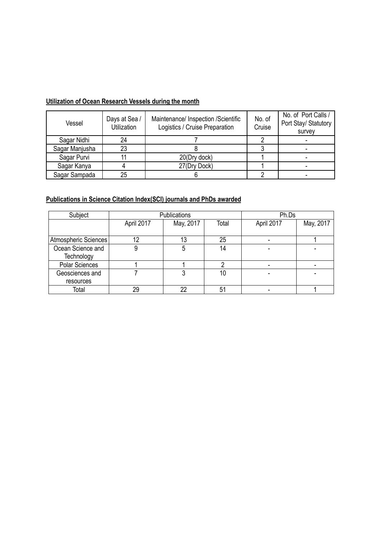# **Utilization of Ocean Research Vessels during the month**

| Vessel         | Days at Sea /<br><b>Utilization</b> | Maintenance/ Inspection /Scientific<br>Logistics / Cruise Preparation | No. of<br>Cruise | No. of Port Calls /<br>Port Stay/ Statutory<br>survey |
|----------------|-------------------------------------|-----------------------------------------------------------------------|------------------|-------------------------------------------------------|
| Sagar Nidhi    | 24                                  |                                                                       |                  |                                                       |
| Sagar Manjusha | 23                                  |                                                                       |                  |                                                       |
| Sagar Purvi    |                                     | 20(Dry dock)                                                          |                  |                                                       |
| Sagar Kanya    |                                     | 27(Dry Dock)                                                          |                  |                                                       |
| Sagar Sampada  | 25                                  |                                                                       |                  |                                                       |

# **Publications in Science Citation Index(SCI) journals and PhDs awarded**

| Subject               | Publications |           |       | Ph.Ds      |           |
|-----------------------|--------------|-----------|-------|------------|-----------|
|                       | April 2017   | May, 2017 | Total | April 2017 | May, 2017 |
|                       |              |           |       |            |           |
| Atmospheric Sciences  | 12           | 13        | 25    |            |           |
| Ocean Science and     |              | 5         | 14    |            |           |
| Technology            |              |           |       |            |           |
| <b>Polar Sciences</b> |              |           |       |            |           |
| Geosciences and       |              | າ         | 10    |            |           |
| resources             |              |           |       |            |           |
| Total                 | 29           | 22        | 51    |            |           |